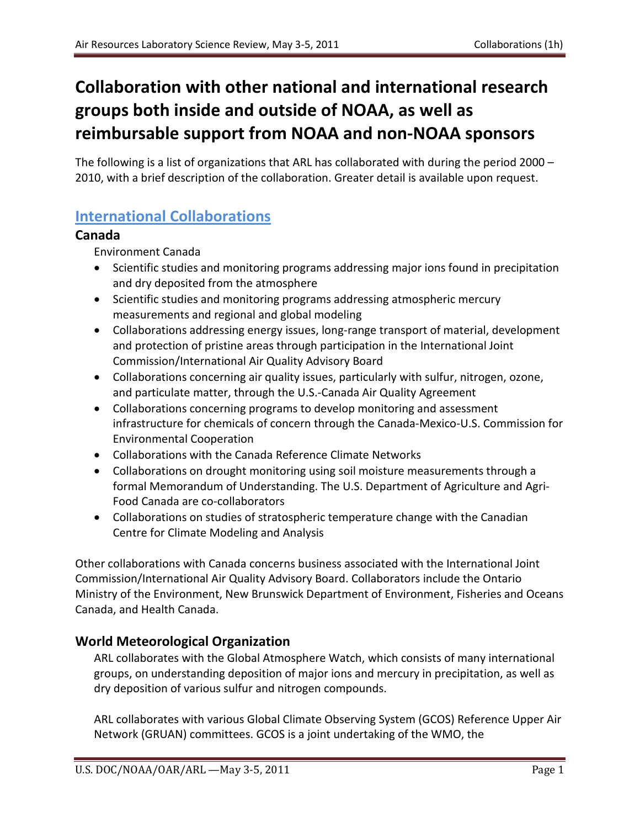# **Collaboration with other national and international research groups both inside and outside of NOAA, as well as reimbursable support from NOAA and non-NOAA sponsors**

The following is a list of organizations that ARL has collaborated with during the period 2000 – 2010, with a brief description of the collaboration. Greater detail is available upon request.

# **International Collaborations**

### **Canada**

Environment Canada

- Scientific studies and monitoring programs addressing major ions found in precipitation and dry deposited from the atmosphere
- Scientific studies and monitoring programs addressing atmospheric mercury measurements and regional and global modeling
- Collaborations addressing energy issues, long-range transport of material, development and protection of pristine areas through participation in the International Joint Commission/International Air Quality Advisory Board
- Collaborations concerning air quality issues, particularly with sulfur, nitrogen, ozone, and particulate matter, through the U.S.-Canada Air Quality Agreement
- Collaborations concerning programs to develop monitoring and assessment infrastructure for chemicals of concern through the Canada-Mexico-U.S. Commission for Environmental Cooperation
- Collaborations with the Canada Reference Climate Networks
- Collaborations on drought monitoring using soil moisture measurements through a formal Memorandum of Understanding. The U.S. Department of Agriculture and Agri-Food Canada are co-collaborators
- Collaborations on studies of stratospheric temperature change with the Canadian Centre for Climate Modeling and Analysis

Other collaborations with Canada concerns business associated with the International Joint Commission/International Air Quality Advisory Board. Collaborators include the Ontario Ministry of the Environment, New Brunswick Department of Environment, Fisheries and Oceans Canada, and Health Canada.

## **World Meteorological Organization**

ARL collaborates with the Global Atmosphere Watch, which consists of many international groups, on understanding deposition of major ions and mercury in precipitation, as well as dry deposition of various sulfur and nitrogen compounds.

ARL collaborates with various Global Climate Observing System (GCOS) Reference Upper Air Network (GRUAN) committees. GCOS is a joint undertaking of the WMO, the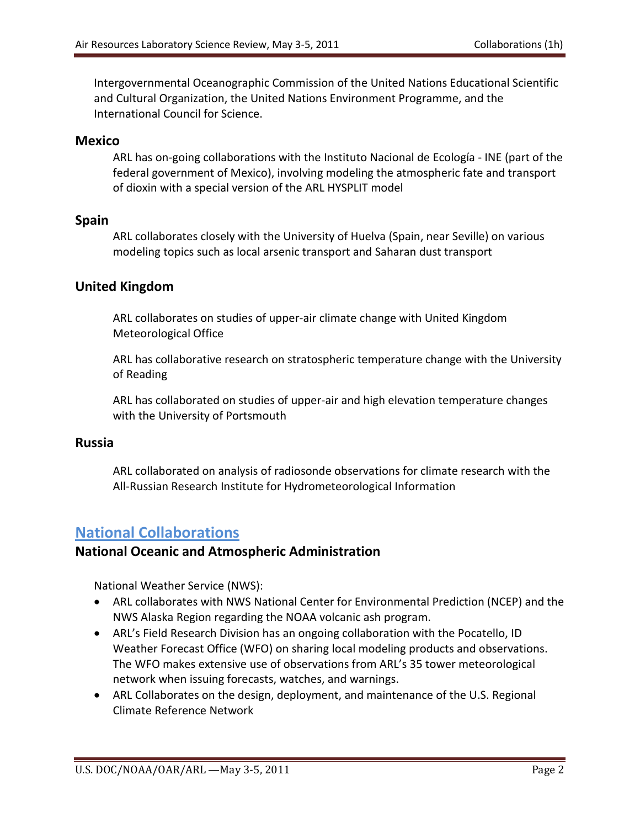Intergovernmental Oceanographic Commission of the United Nations Educational Scientific and Cultural Organization, the United Nations Environment Programme, and the International Council for Science.

#### **Mexico**

ARL has on-going collaborations with the Instituto Nacional de Ecología - INE (part of the federal government of Mexico), involving modeling the atmospheric fate and transport of dioxin with a special version of the ARL HYSPLIT model

#### **Spain**

ARL collaborates closely with the University of Huelva (Spain, near Seville) on various modeling topics such as local arsenic transport and Saharan dust transport

### **United Kingdom**

ARL collaborates on studies of upper-air climate change with United Kingdom Meteorological Office

ARL has collaborative research on stratospheric temperature change with the University of Reading

ARL has collaborated on studies of upper-air and high elevation temperature changes with the University of Portsmouth

#### **Russia**

ARL collaborated on analysis of radiosonde observations for climate research with the All-Russian Research Institute for Hydrometeorological Information

# **National Collaborations**

### **National Oceanic and Atmospheric Administration**

National Weather Service (NWS):

- ARL collaborates with NWS National Center for Environmental Prediction (NCEP) and the NWS Alaska Region regarding the NOAA volcanic ash program.
- ARL's Field Research Division has an ongoing collaboration with the Pocatello, ID Weather Forecast Office (WFO) on sharing local modeling products and observations. The WFO makes extensive use of observations from ARL's 35 tower meteorological network when issuing forecasts, watches, and warnings.
- ARL Collaborates on the design, deployment, and maintenance of the U.S. Regional Climate Reference Network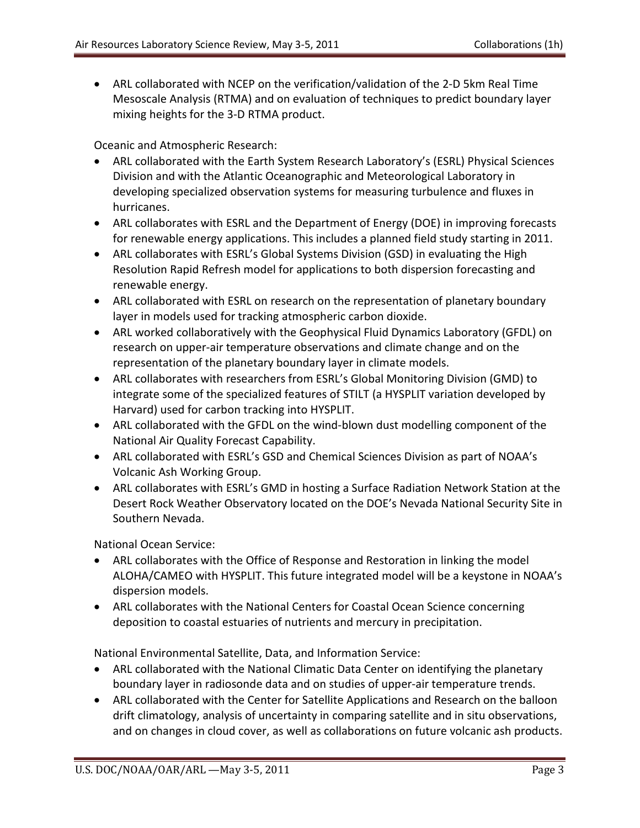• ARL collaborated with NCEP on the verification/validation of the 2-D 5km Real Time Mesoscale Analysis (RTMA) and on evaluation of techniques to predict boundary layer mixing heights for the 3-D RTMA product.

Oceanic and Atmospheric Research:

- ARL collaborated with the Earth System Research Laboratory's (ESRL) Physical Sciences Division and with the Atlantic Oceanographic and Meteorological Laboratory in developing specialized observation systems for measuring turbulence and fluxes in hurricanes.
- ARL collaborates with ESRL and the Department of Energy (DOE) in improving forecasts for renewable energy applications. This includes a planned field study starting in 2011.
- ARL collaborates with ESRL's Global Systems Division (GSD) in evaluating the High Resolution Rapid Refresh model for applications to both dispersion forecasting and renewable energy.
- ARL collaborated with ESRL on research on the representation of planetary boundary layer in models used for tracking atmospheric carbon dioxide.
- ARL worked collaboratively with the Geophysical Fluid Dynamics Laboratory (GFDL) on research on upper-air temperature observations and climate change and on the representation of the planetary boundary layer in climate models.
- ARL collaborates with researchers from ESRL's Global Monitoring Division (GMD) to integrate some of the specialized features of STILT (a HYSPLIT variation developed by Harvard) used for carbon tracking into HYSPLIT.
- ARL collaborated with the GFDL on the wind-blown dust modelling component of the National Air Quality Forecast Capability.
- ARL collaborated with ESRL's GSD and Chemical Sciences Division as part of NOAA's Volcanic Ash Working Group.
- ARL collaborates with ESRL's GMD in hosting a Surface Radiation Network Station at the Desert Rock Weather Observatory located on the DOE's Nevada National Security Site in Southern Nevada.

National Ocean Service:

- ARL collaborates with the Office of Response and Restoration in linking the model ALOHA/CAMEO with HYSPLIT. This future integrated model will be a keystone in NOAA's dispersion models.
- ARL collaborates with the National Centers for Coastal Ocean Science concerning deposition to coastal estuaries of nutrients and mercury in precipitation.

National Environmental Satellite, Data, and Information Service:

- ARL collaborated with the National Climatic Data Center on identifying the planetary boundary layer in radiosonde data and on studies of upper-air temperature trends.
- ARL collaborated with the Center for Satellite Applications and Research on the balloon drift climatology, analysis of uncertainty in comparing satellite and in situ observations, and on changes in cloud cover, as well as collaborations on future volcanic ash products.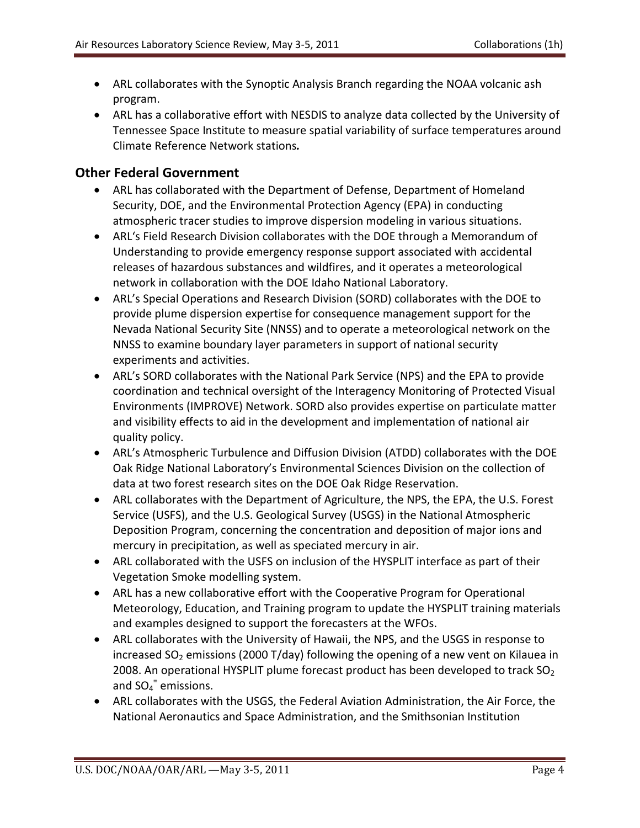- ARL collaborates with the Synoptic Analysis Branch regarding the NOAA volcanic ash program.
- ARL has a collaborative effort with NESDIS to analyze data collected by the University of Tennessee Space Institute to measure spatial variability of surface temperatures around Climate Reference Network stations*.*

### **Other Federal Government**

- ARL has collaborated with the Department of Defense, Department of Homeland Security, DOE, and the Environmental Protection Agency (EPA) in conducting atmospheric tracer studies to improve dispersion modeling in various situations.
- ARL's Field Research Division collaborates with the DOE through a Memorandum of Understanding to provide emergency response support associated with accidental releases of hazardous substances and wildfires, and it operates a meteorological network in collaboration with the DOE Idaho National Laboratory.
- ARL's Special Operations and Research Division (SORD) collaborates with the DOE to provide plume dispersion expertise for consequence management support for the Nevada National Security Site (NNSS) and to operate a meteorological network on the NNSS to examine boundary layer parameters in support of national security experiments and activities.
- ARL's SORD collaborates with the National Park Service (NPS) and the EPA to provide coordination and technical oversight of the Interagency Monitoring of Protected Visual Environments (IMPROVE) Network. SORD also provides expertise on particulate matter and visibility effects to aid in the development and implementation of national air quality policy.
- ARL's Atmospheric Turbulence and Diffusion Division (ATDD) collaborates with the DOE Oak Ridge National Laboratory's Environmental Sciences Division on the collection of data at two forest research sites on the DOE Oak Ridge Reservation.
- ARL collaborates with the Department of Agriculture, the NPS, the EPA, the U.S. Forest Service (USFS), and the U.S. Geological Survey (USGS) in the National Atmospheric Deposition Program, concerning the concentration and deposition of major ions and mercury in precipitation, as well as speciated mercury in air.
- ARL collaborated with the USFS on inclusion of the HYSPLIT interface as part of their Vegetation Smoke modelling system.
- ARL has a new collaborative effort with the Cooperative Program for Operational Meteorology, Education, and Training program to update the HYSPLIT training materials and examples designed to support the forecasters at the WFOs.
- ARL collaborates with the University of Hawaii, the NPS, and the USGS in response to increased  $SO<sub>2</sub>$  emissions (2000 T/day) following the opening of a new vent on Kilauea in 2008. An operational HYSPLIT plume forecast product has been developed to track  $SO<sub>2</sub>$ and  $SO_4$ <sup>=</sup> emissions.
- ARL collaborates with the USGS, the Federal Aviation Administration, the Air Force, the National Aeronautics and Space Administration, and the Smithsonian Institution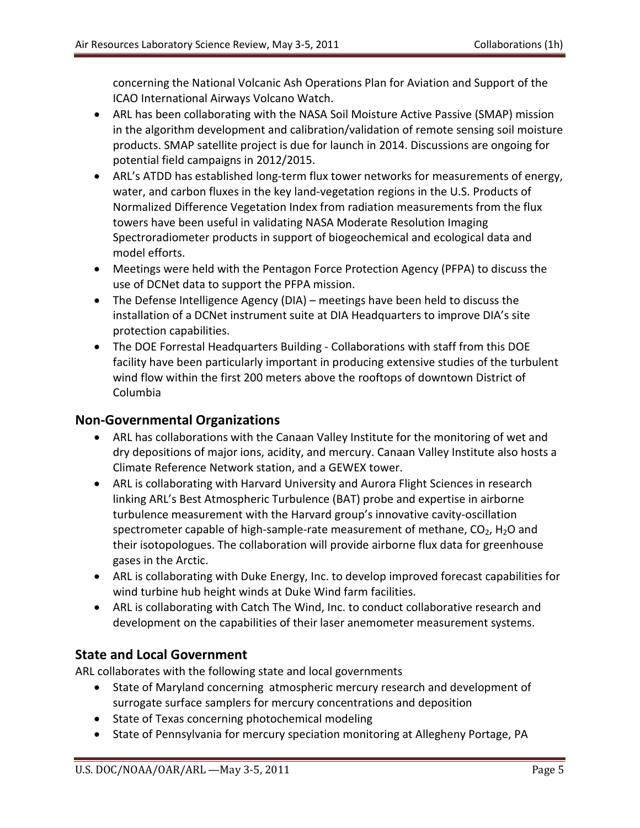concerning the National Volcanic Ash Operations Plan for Aviation and Support of the ICAO International Airways Volcano Watch.

- ARL has been collaborating with the NASA Soil Moisture Active Passive (SMAP) mission in the algorithm development and calibration/validation of remote sensing soil moisture products. SMAP satellite project is due for launch in 2014. Discussions are ongoing for potential field campaigns in 2012/2015.
- ARL's ATDD has established long-term flux tower networks for measurements of energy, water, and carbon fluxes in the key land-vegetation regions in the U.S. Products of Normalized Difference Vegetation Index from radiation measurements from the flux towers have been useful in validating NASA Moderate Resolution Imaging Spectroradiometer products in support of biogeochemical and ecological data and model efforts.
- Meetings were held with the Pentagon Force Protection Agency (PFPA) to discuss the use of DCNet data to support the PFPA mission.
- The Defense Intelligence Agency (DIA) meetings have been held to discuss the installation of a DCNet instrument suite at DIA Headquarters to improve DIA's site protection capabilities.
- The DOE Forrestal Headquarters Building Collaborations with staff from this DOE facility have been particularly important in producing extensive studies of the turbulent wind flow within the first 200 meters above the rooftops of downtown District of Columbia

### **Non-Governmental Organizations**

- ARL has collaborations with the Canaan Valley Institute for the monitoring of wet and dry depositions of major ions, acidity, and mercury. Canaan Valley Institute also hosts a Climate Reference Network station, and a GEWEX tower.
- ARL is collaborating with Harvard University and Aurora Flight Sciences in research linking ARL's Best Atmospheric Turbulence (BAT) probe and expertise in airborne turbulence measurement with the Harvard group's innovative cavity-oscillation spectrometer capable of high-sample-rate measurement of methane,  $CO<sub>2</sub>$ , H<sub>2</sub>O and their isotopologues. The collaboration will provide airborne flux data for greenhouse gases in the Arctic.
- ARL is collaborating with Duke Energy, Inc. to develop improved forecast capabilities for wind turbine hub height winds at Duke Wind farm facilities.
- ARL is collaborating with Catch The Wind, Inc. to conduct collaborative research and development on the capabilities of their laser anemometer measurement systems.

### **State and Local Government**

ARL collaborates with the following state and local governments

- State of Maryland concerning atmospheric mercury research and development of surrogate surface samplers for mercury concentrations and deposition
- State of Texas concerning photochemical modeling
- State of Pennsylvania for mercury speciation monitoring at Allegheny Portage, PA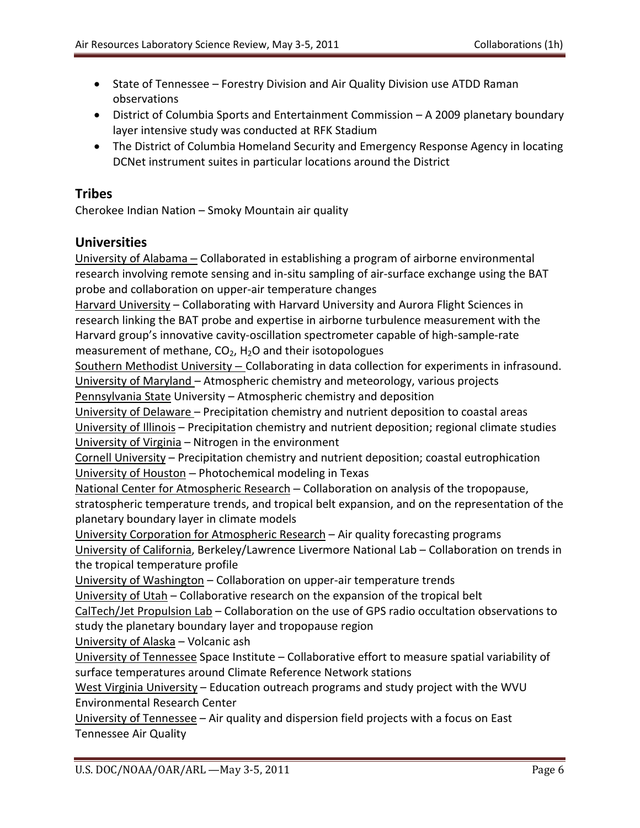- State of Tennessee Forestry Division and Air Quality Division use ATDD Raman observations
- District of Columbia Sports and Entertainment Commission A 2009 planetary boundary layer intensive study was conducted at RFK Stadium
- The District of Columbia Homeland Security and Emergency Response Agency in locating DCNet instrument suites in particular locations around the District

### **Tribes**

Cherokee Indian Nation – Smoky Mountain air quality

#### **Universities**

University of Alabama – Collaborated in establishing a program of airborne environmental research involving remote sensing and in-situ sampling of air-surface exchange using the BAT probe and collaboration on upper-air temperature changes

Harvard University – Collaborating with Harvard University and Aurora Flight Sciences in research linking the BAT probe and expertise in airborne turbulence measurement with the Harvard group's innovative cavity-oscillation spectrometer capable of high-sample-rate measurement of methane,  $CO<sub>2</sub>$ , H<sub>2</sub>O and their isotopologues

Southern Methodist University – Collaborating in data collection for experiments in infrasound. University of Maryland – Atmospheric chemistry and meteorology, various projects

Pennsylvania State University - Atmospheric chemistry and deposition

University of Delaware – Precipitation chemistry and nutrient deposition to coastal areas University of Illinois – Precipitation chemistry and nutrient deposition; regional climate studies University of Virginia – Nitrogen in the environment

Cornell University – Precipitation chemistry and nutrient deposition; coastal eutrophication University of Houston – Photochemical modeling in Texas

National Center for Atmospheric Research – Collaboration on analysis of the tropopause, stratospheric temperature trends, and tropical belt expansion, and on the representation of the planetary boundary layer in climate models

University Corporation for Atmospheric Research – Air quality forecasting programs University of California, Berkeley/Lawrence Livermore National Lab – Collaboration on trends in the tropical temperature profile

University of Washington - Collaboration on upper-air temperature trends

University of Utah – Collaborative research on the expansion of the tropical belt

CalTech/Jet Propulsion Lab – Collaboration on the use of GPS radio occultation observations to study the planetary boundary layer and tropopause region

University of Alaska – Volcanic ash

University of Tennessee Space Institute – Collaborative effort to measure spatial variability of surface temperatures around Climate Reference Network stations

West Virginia University – Education outreach programs and study project with the WVU Environmental Research Center

University of Tennessee – Air quality and dispersion field projects with a focus on East Tennessee Air Quality